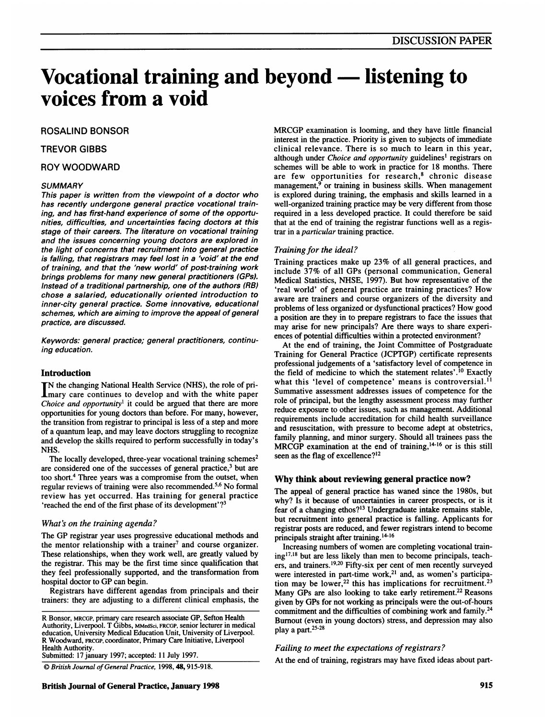# Vocational training and beyond - listening to voices from a void

## ROSALIND BONSOR

## TREVOR GIBBS

#### ROY WOODWARD

#### **SUMMARY**

This paper is written from the viewpoint of a doctor who has recently undergone general practice vocational training, and has first-hand experience of some of the opportunities, difficulties, and uncertainties facing doctors at this stage of their careers. The literature on vocational training and the issues concerning young doctors are explored in the light of concerns that recruitment into general practice is falling, that registrars may feel lost in a 'void' at the end of training, and that the 'new world' of post-training work brings problems for many new general practitioners (GPs). Instead of a traditional partnership, one of the authors (RB) chose a salaried, educationally oriented introduction to inner-city general practice. Some innovative, educational schemes, which are aiming to improve the appeal of general practice, are discussed.

Keywords: general practice; general practitioners, continuing education.

#### Introduction

N the changing National Health Service (NHS), the role of pri-**L**mary care continues to develop and with the white paper Choice and opportunity<sup>1</sup> it could be argued that there are more opportunities for young doctors than before. For many, however, the transition from registrar to principal is less of a step and more of a quantum leap, and may leave doctors struggling to recognize and develop the skills required to perform successfully in today's NHS.

The locally developed, three-year vocational training schemes<sup>2</sup> are considered one of the successes of general practice,3 but are too short.<sup>4</sup> Three years was a compromise from the outset, when regular reviews of training were also recommended.5'6 No formal review has yet occurred. Has training for general practice 'reached the end of the first phase of its development' ?3

#### What's on the training agenda?

The GP registrar year uses progressive educational methods and the mentor relationship with a trainer<sup>7</sup> and course organizer. These relationships, when they work well, are greatly valued by the registrar. This may be the first time since qualification that they feel professionally supported, and the transformation from hospital doctor to GP can begin.

Registrars have different agendas from principals and their trainers: they are adjusting to a different clinical emphasis, the

Submitted: 17 january 1997; accepted: 11 July 1997.

C) British Journal of General Practice, 1998, 48, 915-918.

MRCGP examination is looming, and they have little financial interest in the practice. Priority is given to subjects of immediate clinical relevance. There is so much to learn in this year, although under *Choice and opportunity* guidelines<sup>1</sup> registrars on schemes will be able to work in practice for 18 months. There are few opportunities for research, $8$  chronic disease management, $9$  or training in business skills. When management is explored during training, the emphasis and skills learned in a well-organized training practice may be very different from those required in a less developed practice. It could therefore be said that at the end of training the registrar functions well as a registrar in a particular training practice.

#### Training for the ideal?

Training practices make up 23% of all general practices, and include 37% of all GPs (personal communication, General Medical Statistics, NHSE, 1997). But how representative of the 'real world' of general practice are training practices? How aware are trainers and course organizers of the diversity and problems of less organized or dysfunctional practices? How good a position are they in to prepare registrars to face the issues that may arise for new principals? Are there ways to share experiences of potential difficulties within a protected environment?

At the end of training, the Joint Committee of Postgraduate Training for General Practice (JCPTGP) certificate represents professional judgements of a 'satisfactory level of competence in the field of medicine to which the statement relates'.<sup>10</sup> Exactly what this 'level of competence' means is controversial.<sup>11</sup> Summative assessment addresses issues of competence for the role of principal, but the lengthy assessment process may further reduce exposure to other issues, such as management. Additional requirements include accreditation for child health surveillance and resuscitation, with pressure to become adept at obstetrics, family planning, and minor surgery. Should all trainees pass the MRCGP examination at the end of training,<sup>14-16</sup> or is this still seen as the flag of excellence?<sup>12</sup>

#### Why think about reviewing general practice now?

The appeal of general practice has waned since the 1980s, but why? Is it because of uncertainties in career prospects, or is it fear of <sup>a</sup> changing ethos?'3 Undergraduate intake remains stable, but recruitment into general practice is falling. Applicants for registrar posts are reduced, and fewer registrars intend to become principals straight after training.<sup>14-16</sup>

Increasing numbers of women are completing vocational train $ing<sup>17,18</sup>$  but are less likely than men to become principals, teachers, and trainers.<sup>19,20</sup> Fifty-six per cent of men recently surveyed were interested in part-time work,<sup>21</sup> and, as women's participation may be lower,<sup>22</sup> this has implications for recruitment.<sup>23</sup> Many GPs are also looking to take early retirement.<sup>22</sup> Reasons given by GPs for not working as principals were the out-of-hours commitment and the difficulties of combining work and family.24 Bumout (even in young doctors) stress, and depression may also play a part.<sup>25-28</sup>

## Failing to meet the expectations of registrars?

At the end of training, registrars may have fixed ideas about part-

R Bonsor, MRCGP, primary care research associate GP, Sefton Health Authority, Liverpool. T Gibbs, MMedSci, FRCGP, senior lecturer in medical education, University Medical Education Unit, University of Liverpool. R Woodward, FRCGP, coordinator, Primary Care Initiative, Liverpool Health Authority.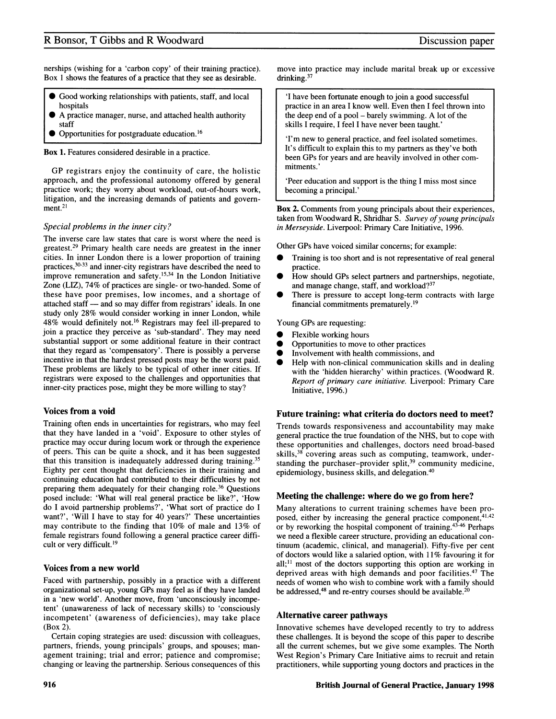# R Bonsor, T Gibbs and R Woodward

nerships (wishing for a 'carbon copy' of their training practice). Box <sup>1</sup> shows the features of a practice that they see as desirable.

- $\bullet$  Good working relationships with patients, staff, and local hospitals
- A practice manager, nurse, and attached health authority staff
- Opportunities for postgraduate education.<sup>16</sup>

Box 1. Features considered desirable in a practice.

GP registrars enjoy the continuity of care, the holistic approach, and the professional autonomy offered by general practice work; they worry about workload, out-of-hours work, litigation, and the increasing demands of patients and government.<sup>21</sup>

## Special problems in the inner city?

The inverse care law states that care is worst where the need is greatest.29 Primary health care needs are greatest in the inner cities. In inner London there is a lower proportion of training practices,30-33 and inner-city registrars have described the need to improve remuneration and safety.<sup>15,34</sup> In the London Initiative Zone (LIZ), 74% of practices are single- or two-handed. Some of these have poor premises, low incomes, and a shortage of attached staff - and so may differ from registrars' ideals. In one study only 28% would consider working in inner London, while 48% would definitely not.'6 Registrars may feel ill-prepared to join a practice they perceive as 'sub-standard'. They may need substantial support or some additional feature in their contract that they regard as 'compensatory'. There is possibly a perverse incentive in that the hardest pressed posts may be the worst paid. These problems are likely to be typical of other inner cities. If registrars were exposed to the challenges and opportunities that inner-city practices pose, might they be more willing to stay?

## Voices from a void

Training often ends in uncertainties for registrars, who may feel that they have landed in a 'void'. Exposure to other styles of practice may occur during locum work or through the experience of peers. This can be quite a shock, and it has been suggested that this transition is inadequately addressed during training.<sup>35</sup> Eighty per cent thought that deficiencies in their training and continuing education had contributed to their difficulties by not preparing them adequately for their changing role.<sup>36</sup> Questions posed include: 'What will real general practice be like?', 'How do <sup>I</sup> avoid partnership problems?', 'What sort of practice do <sup>I</sup> want?', 'Will <sup>I</sup> have to stay for 40 years?' These uncertainties may contribute to the finding that 10% of male and 13% of female registrars found following a general practice career difficult or very difficult.<sup>19</sup>

## Voices from a new world

Faced with partnership, possibly in a practice with a different organizational set-up, young GPs may feel as if they have landed in a 'new world'. Another move, from 'unconsciously incompetent' (unawareness of lack of necessary skills) to 'consciously incompetent' (awareness of deficiencies), may take place (Box 2).

Certain coping strategies are used: discussion with colleagues, partners, friends, young principals' groups, and spouses; management training; trial and error; patience and compromise; changing or leaving the partnership. Serious consequences of this

move into practice may include marital break up or excessive drinking.<sup>37</sup>

'I have been fortunate enough to join a good successful practice in an area <sup>I</sup> know well. Even then <sup>I</sup> feel thrown into the deep end of a pool – barely swimming. A lot of the skills <sup>I</sup> require, <sup>I</sup> feel <sup>I</sup> have never been taught.'

'I'm new to general practice, and feel isolated sometimes. It's difficult to explain this to my partners as they've both been GPs for years and are heavily involved in other commitments.'

'Peer education and support is the thing <sup>I</sup> miss most since becoming a principal.'

Box 2. Comments from young principals about their experiences, taken from Woodward R, Shridhar S. Survey of young principals in Merseyside. Liverpool: Primary Care Initiative, 1996.

Other GPs have voiced similar concerns; for example:

- Training is too short and is not representative of real general practice.
- How should GPs select partners and partnerships, negotiate, and manage change, staff, and workload?<sup>37</sup>
- There is pressure to accept long-term contracts with large financial commitments prematurely.'9

Young GPs are requesting:

- Flexible working hours
- Opportunities to move to other practices
- Involvement with health commissions, and
- Help with non-clinical communication skills and in dealing with the 'hidden hierarchy' within practices. (Woodward R. Report of primary care initiative. Liverpool: Primary Care Initiative, 1996.)

## Future training: what criteria do doctors need to meet?

Trends towards responsiveness and accountability may make general practice the true foundation of the NHS, but to cope with these opportunities and challenges, doctors need broad-based skills,<sup>38</sup> covering areas such as computing, teamwork, understanding the purchaser-provider split,<sup>39</sup> community medicine, epidemiology, business skills, and delegation.<sup>40</sup>

## Meeting the challenge: where do we go from here?

Many alterations to current training schemes have been proposed, either by increasing the general practice component, 41,42 or by reworking the hospital component of training.43-46 Perhaps we need a flexible career structure, providing an educational continuum (academic, clinical, and managerial). Fifty-five per cent of doctors would like a salaried option, with 11% favouring it for  $all;$ <sup>11</sup> most of the doctors supporting this option are working in deprived areas with high demands and poor facilities.<sup>47</sup> The needs of women who wish to combine work with a family should be addressed,<sup>48</sup> and re-entry courses should be available.<sup>20</sup>

## Alternative career pathways

Innovative schemes have developed recently to try to address these challenges. It is beyond the scope of this paper to describe all the current schemes, but we give some examples. The North West Region's Primary Care Initiative aims to recruit and retain practitioners, while supporting young doctors and practices in the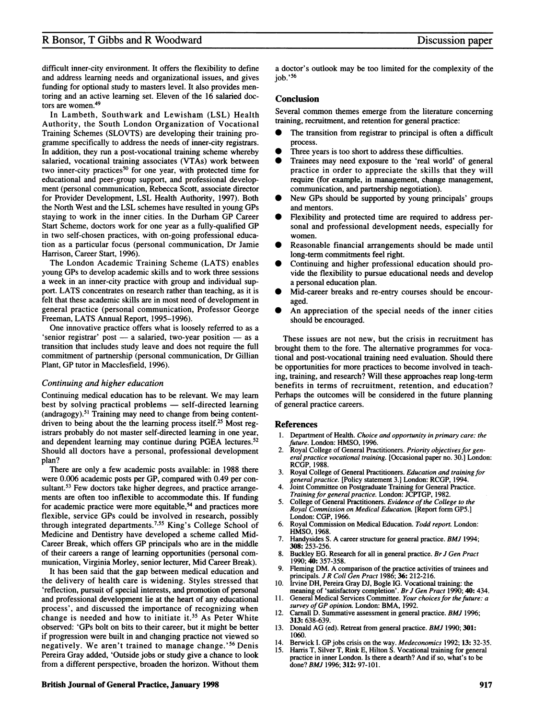## R Bonsor, T Gibbs and R Woodward Discussion paper

difficult inner-city environment. It offers the flexibility to define and address learning needs and organizational issues, and gives funding for optional study to masters level. It also provides mentoring and an active learning set. Eleven of the 16 salaried doctors are women.49

In Lambeth, Southwark and Lewisham (LSL) Health Authority, the South London Organization of Vocational Training Schemes (SLOVTS) are developing their training programme specifically to address the needs of inner-city registrars. In addition, they run a post-vocational training scheme whereby salaried, vocational training associates (VTAs) work between two inner-city practices<sup>50</sup> for one year, with protected time for educational and peer-group support, and professional development (personal communication, Rebecca Scott, associate director for Provider Development, LSL Health Authority, 1997). Both the North West and the LSL schemes have resulted in young GPs staying to work in the inner cities. In the Durham GP Career Start Scheme, doctors work for one year as <sup>a</sup> fully-qualified GP in two self-chosen practices, with on-going professional education as a particular focus (personal communication, Dr Jamie Harrison, Career Start, 1996).

The London Academic Training Scheme (LATS) enables young GPs to develop academic skills and to work three sessions a week in an inner-city practice with group and individual support. LATS concentrates on research rather than teaching, as it is felt that these academic skills are in most need of development in general practice (personal communication, Professor George Freeman, LATS Annual Report, 1995-1996).

One innovative practice offers what is loosely referred to as a 'senior registrar' post  $-$  a salaried, two-year position  $-$  as a transition that includes study leave and does not require the full commitment of partnership (personal communication, Dr Gillian Plant, GP tutor in Macclesfield, 1996).

#### Continuing and higher education

Continuing medical education has to be relevant. We may learn best by solving practical problems - self-directed learning (andragogy).51 Training may need to change from being contentdriven to being about the the learning process itself.<sup>25</sup> Most registrars probably do not master self-directed learning in one year, and dependent learning may continue during PGEA lectures.<sup>52</sup> Should all doctors have a personal, professional development plan?

There are only a few academic posts available: in 1988 there were 0.006 academic posts per GP, compared with 0.49 per consultant.<sup>53</sup> Few doctors take higher degrees, and practice arrangements are often too inflexible to accommodate this. If funding for academic practice were more equitable,<sup>54</sup> and practices more flexible, service GPs could be involved in research, possibly through integrated departments.755 King's College School of Medicine and Dentistry have developed a scheme called Mid-Career Break, which offers GP principals who are in the middle of their careers a range of learning opportunities (personal communication, Virginia Morley, senior lecturer, Mid Career Break).

It has been said that the gap between medical education and the delivery of health care is widening. Styles stressed that 'reflection, pursuit of special interests, and promotion of personal and professional development lie at the heart of any educational process', and discussed the importance of recognizing when change is needed and how to initiate it.<sup>35</sup> As Peter White observed: 'GPs bolt on bits to their career, but it might be better if progression were built in and changing practice not viewed so negatively. We aren't trained to manage change.'56 Denis Pereira Gray added, 'Outside jobs or study give a chance to look from a different perspective, broaden the horizon. Without them a doctor's outlook may be too limited for the complexity of the job.'56

## Conclusion

Several common themes emerge from the literature concerning training, recruitment, and retention for general practice:

- The transition from registrar to principal is often a difficult process.
- Three years is too short to address these difficulties.
- Trainees may need exposure to the 'real world' of general practice in order to appreciate the skills that they will require (for example, in management, change management, communication, and partnership negotiation).
- New GPs should be supported by young principals' groups and mentors.
- Flexibility and protected time are required to address personal and professional development needs, especially for women.
- Reasonable financial arrangements should be made until long-term commitments feel right.
- Continuing and higher professional education should provide the flexibility to pursue educational needs and develop a personal education plan.
- Mid-career breaks and re-entry courses should be encouraged.
- An appreciation of the special needs of the inner cities should be encouraged.

These issues are not new, but the crisis in recruitment has brought them to the fore. The altemative programmes for vocational and post-vocational training need evaluation. Should there be opportunities for more practices to become involved in teaching, training, and research? Will these approaches reap long-term benefits in terms of recruitment, retention, and education? Perhaps the outcomes will be considered in the future planning of general practice careers.

#### References

- Department of Health. Choice and opportunity in primary care: the future. London: HMSO, 1996.
- 2. Royal College of General Practitioners. Priority objectives for general practice vocational training. [Occasional paper no. 30.] London: RCGP, 1988.
- 3. Royal College of General Practitioners. Education and training for general practice. [Policy statement 3.] London: RCGP, 1994.
- Joint Committee on Postgraduate Training for General Practice. Training for general practice. London: JCPTGP, 1982.
- 5. College of General Practitioners. Evidence of the College to the Royal Commission on Medical Education. [Report form GP5.] London: CGP, 1966.
- 6. Royal Commission on Medical Education. Todd report. London: HMSO, 1968.
- 7. Handysides S. A career structure for general practice. BMJ 1994; 308: 253-256.
- Buckley EG. Research for all in general practice. Br J Gen Pract 1990; 40: 357-358.
- Fleming DM. A comparison of the practice activities of trainees and principals. J R Coll Gen Pract 1986; 36: 212-216.
- 10. Irvine DH, Pereira Gray DJ, Bogle IG. Vocational training: the meaning of 'satisfactory completion'. Br J Gen Pract 1990; 40: 434. 11. General Medical Services Committee. Your choices for the future: a
- survey of GP opinion. London: BMA, 1992.
- 12. Carnall D. Summative assessment in general practice. BMJ 1996; 313: 638-639.
- 13. Donald AG (ed). Retreat from general practice. BMJ 1990; 301: 1060.
- 14. Berwick I. GP jobs crisis on the way. *Medeconomics* 1992; 13: 32-35.<br>15. Harris T, Silver T, Rink E, Hilton S. Vocational training for general practice in inner London. Is there a dearth? And if so, what's to be done? BMJ 1996; 312: 97-101.